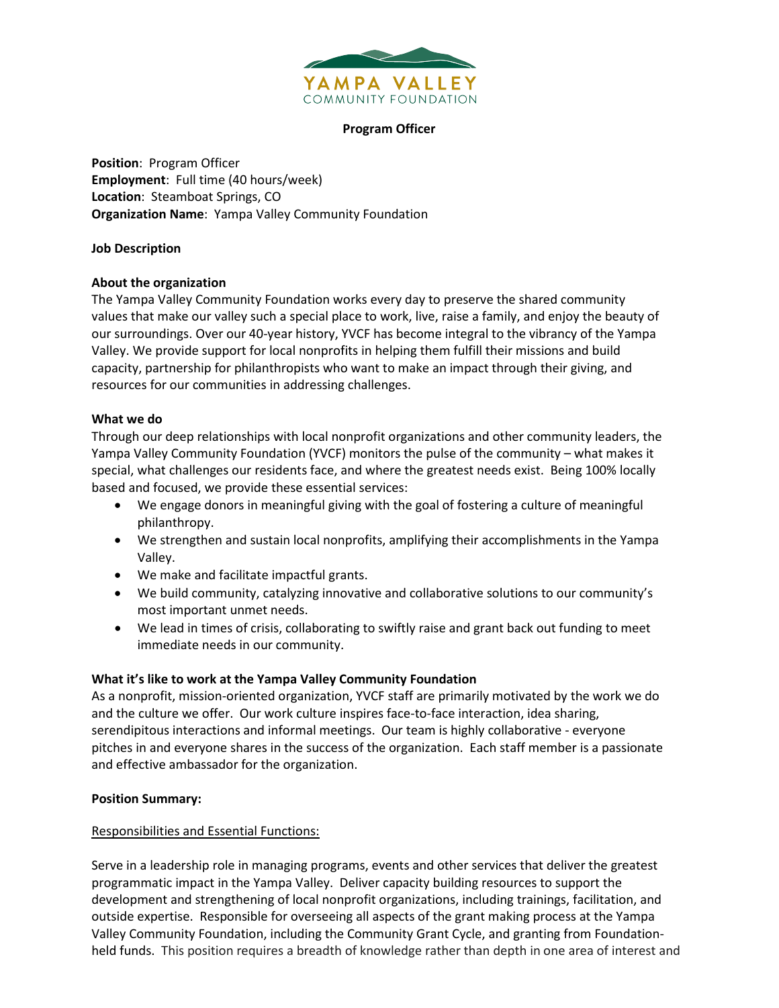

#### **Program Officer**

**Position**: Program Officer **Employment**: Full time (40 hours/week) **Location**: Steamboat Springs, CO **Organization Name**: Yampa Valley Community Foundation

## **Job Description**

# **About the organization**

The Yampa Valley Community Foundation works every day to preserve the shared community values that make our valley such a special place to work, live, raise a family, and enjoy the beauty of our surroundings. Over our 40-year history, YVCF has become integral to the vibrancy of the Yampa Valley. We provide support for local nonprofits in helping them fulfill their missions and build capacity, partnership for philanthropists who want to make an impact through their giving, and resources for our communities in addressing challenges.

## **What we do**

Through our deep relationships with local nonprofit organizations and other community leaders, the Yampa Valley Community Foundation (YVCF) monitors the pulse of the community – what makes it special, what challenges our residents face, and where the greatest needs exist. Being 100% locally based and focused, we provide these essential services:

- We engage donors in meaningful giving with the goal of fostering a culture of meaningful philanthropy.
- We strengthen and sustain local nonprofits, amplifying their accomplishments in the Yampa Valley.
- We make and facilitate impactful grants.
- We build community, catalyzing innovative and collaborative solutions to our community's most important unmet needs.
- We lead in times of crisis, collaborating to swiftly raise and grant back out funding to meet immediate needs in our community.

# **What it's like to work at the Yampa Valley Community Foundation**

As a nonprofit, mission-oriented organization, YVCF staff are primarily motivated by the work we do and the culture we offer. Our work culture inspires face-to-face interaction, idea sharing, serendipitous interactions and informal meetings. Our team is highly collaborative - everyone pitches in and everyone shares in the success of the organization. Each staff member is a passionate and effective ambassador for the organization.

#### **Position Summary:**

#### Responsibilities and Essential Functions:

Serve in a leadership role in managing programs, events and other services that deliver the greatest programmatic impact in the Yampa Valley. Deliver capacity building resources to support the development and strengthening of local nonprofit organizations, including trainings, facilitation, and outside expertise. Responsible for overseeing all aspects of the grant making process at the Yampa Valley Community Foundation, including the Community Grant Cycle, and granting from Foundationheld funds. This position requires a breadth of knowledge rather than depth in one area of interest and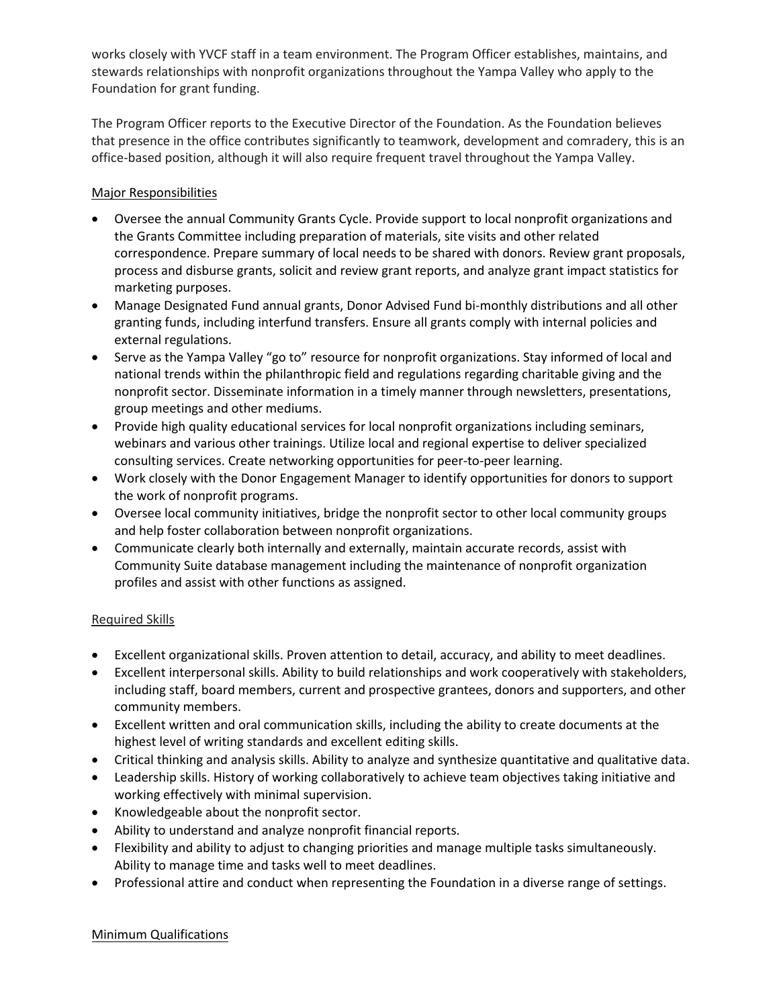works closely with YVCF staff in a team environment. The Program Officer establishes, maintains, and stewards relationships with nonprofit organizations throughout the Yampa Valley who apply to the Foundation for grant funding.

The Program Officer reports to the Executive Director of the Foundation. As the Foundation believes that presence in the office contributes significantly to teamwork, development and comradery, this is an office-based position, although it will also require frequent travel throughout the Yampa Valley.

# Major Responsibilities

- Oversee the annual Community Grants Cycle. Provide support to local nonprofit organizations and the Grants Committee including preparation of materials, site visits and other related correspondence. Prepare summary of local needs to be shared with donors. Review grant proposals, process and disburse grants, solicit and review grant reports, and analyze grant impact statistics for marketing purposes.
- Manage Designated Fund annual grants, Donor Advised Fund bi-monthly distributions and all other granting funds, including interfund transfers. Ensure all grants comply with internal policies and external regulations.
- Serve as the Yampa Valley "go to" resource for nonprofit organizations. Stay informed of local and national trends within the philanthropic field and regulations regarding charitable giving and the nonprofit sector. Disseminate information in a timely manner through newsletters, presentations, group meetings and other mediums.
- Provide high quality educational services for local nonprofit organizations including seminars, webinars and various other trainings. Utilize local and regional expertise to deliver specialized consulting services. Create networking opportunities for peer-to-peer learning.
- Work closely with the Donor Engagement Manager to identify opportunities for donors to support the work of nonprofit programs.
- Oversee local community initiatives, bridge the nonprofit sector to other local community groups and help foster collaboration between nonprofit organizations.
- Communicate clearly both internally and externally, maintain accurate records, assist with Community Suite database management including the maintenance of nonprofit organization profiles and assist with other functions as assigned.

# Required Skills

- Excellent organizational skills. Proven attention to detail, accuracy, and ability to meet deadlines.
- Excellent interpersonal skills. Ability to build relationships and work cooperatively with stakeholders, including staff, board members, current and prospective grantees, donors and supporters, and other community members.
- Excellent written and oral communication skills, including the ability to create documents at the highest level of writing standards and excellent editing skills.
- Critical thinking and analysis skills. Ability to analyze and synthesize quantitative and qualitative data.
- Leadership skills. History of working collaboratively to achieve team objectives taking initiative and working effectively with minimal supervision.
- Knowledgeable about the nonprofit sector.
- Ability to understand and analyze nonprofit financial reports.
- Flexibility and ability to adjust to changing priorities and manage multiple tasks simultaneously. Ability to manage time and tasks well to meet deadlines.
- Professional attire and conduct when representing the Foundation in a diverse range of settings.

# Minimum Qualifications